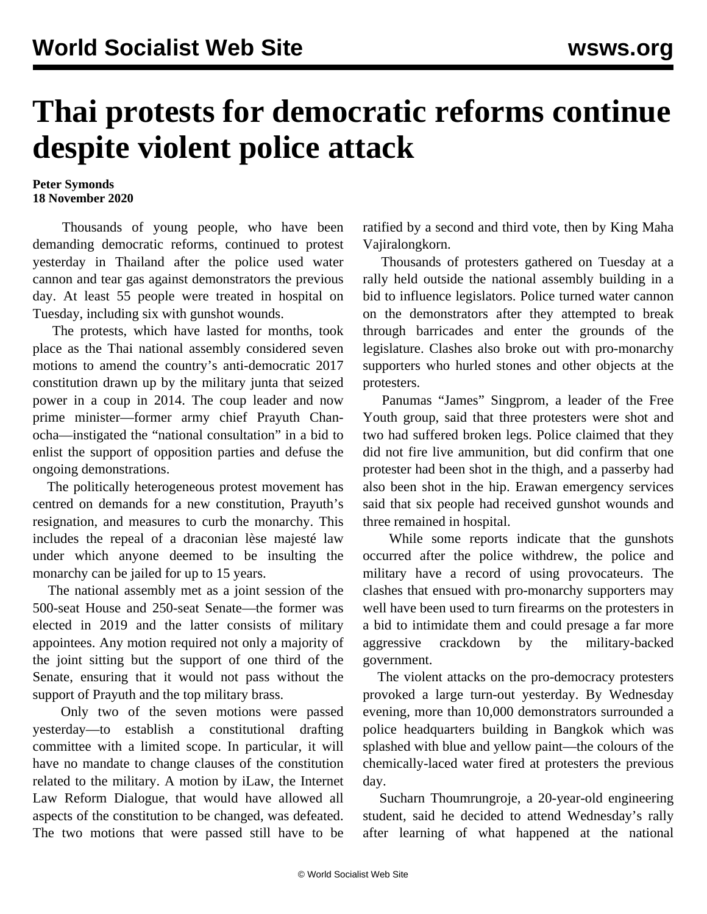## **Thai protests for democratic reforms continue despite violent police attack**

## **Peter Symonds 18 November 2020**

 Thousands of young people, who have been demanding democratic reforms, continued to protest yesterday in Thailand after the police used water cannon and tear gas against demonstrators the previous day. At least 55 people were treated in hospital on Tuesday, including six with gunshot wounds.

 The protests, which have lasted for months, took place as the Thai national assembly considered seven motions to amend the country's anti-democratic 2017 constitution drawn up by the military junta that seized power in a coup in 2014. The coup leader and now prime minister—former army chief Prayuth Chanocha—instigated the "national consultation" in a bid to enlist the support of opposition parties and defuse the ongoing demonstrations.

 The politically heterogeneous protest movement has centred on demands for a new constitution, Prayuth's resignation, and measures to curb the monarchy. This includes the repeal of a draconian lèse majesté law under which anyone deemed to be insulting the monarchy can be jailed for up to 15 years.

 The national assembly met as a joint session of the 500-seat House and 250-seat Senate—the former was elected in 2019 and the latter consists of military appointees. Any motion required not only a majority of the joint sitting but the support of one third of the Senate, ensuring that it would not pass without the support of Prayuth and the top military brass.

 Only two of the seven motions were passed yesterday—to establish a constitutional drafting committee with a limited scope. In particular, it will have no mandate to change clauses of the constitution related to the military. A motion by iLaw, the Internet Law Reform Dialogue, that would have allowed all aspects of the constitution to be changed, was defeated. The two motions that were passed still have to be

ratified by a second and third vote, then by King Maha Vajiralongkorn.

 Thousands of protesters gathered on Tuesday at a rally held outside the national assembly building in a bid to influence legislators. Police turned water cannon on the demonstrators after they attempted to break through barricades and enter the grounds of the legislature. Clashes also broke out with pro-monarchy supporters who hurled stones and other objects at the protesters.

 Panumas "James" Singprom, a leader of the Free Youth group, said that three protesters were shot and two had suffered broken legs. Police claimed that they did not fire live ammunition, but did confirm that one protester had been shot in the thigh, and a passerby had also been shot in the hip. Erawan emergency services said that six people had received gunshot wounds and three remained in hospital.

 While some reports indicate that the gunshots occurred after the police withdrew, the police and military have a record of using provocateurs. The clashes that ensued with pro-monarchy supporters may well have been used to turn firearms on the protesters in a bid to intimidate them and could presage a far more aggressive crackdown by the military-backed government.

 The violent attacks on the pro-democracy protesters provoked a large turn-out yesterday. By Wednesday evening, more than 10,000 demonstrators surrounded a police headquarters building in Bangkok which was splashed with blue and yellow paint—the colours of the chemically-laced water fired at protesters the previous day.

 Sucharn Thoumrungroje, a 20-year-old engineering student, said he decided to attend Wednesday's rally after learning of what happened at the national